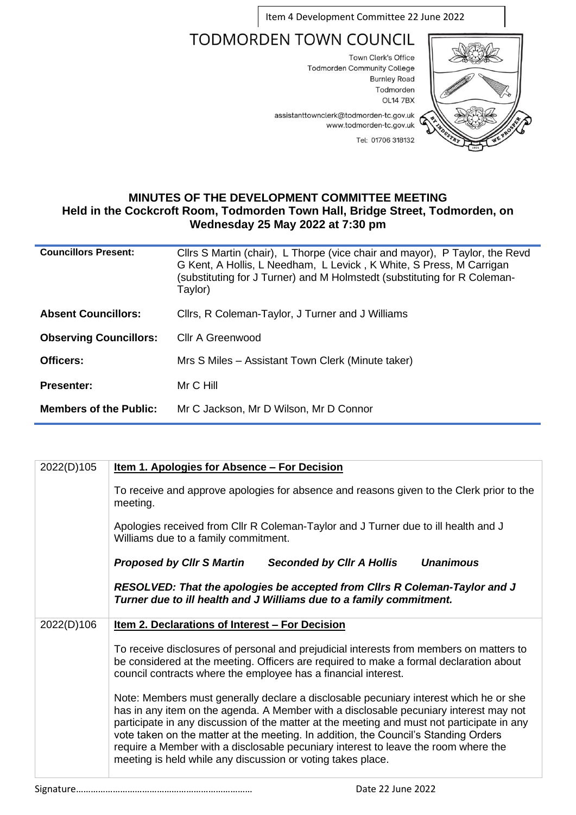Item 4 Development Committee 22 June 2022

## **TODMORDEN TOWN COUNCIL**

Town Clerk's Office **Todmorden Community College Burnley Road** Todmorden **OL14 7BX** 



assistanttownclerk@todmorden-tc.gov.uk www.todmorden-tc.gov.uk Tel: 01706 318132

## **MINUTES OF THE DEVELOPMENT COMMITTEE MEETING Held in the Cockcroft Room, Todmorden Town Hall, Bridge Street, Todmorden, on Wednesday 25 May 2022 at 7:30 pm**

| <b>Councillors Present:</b>   | Cllrs S Martin (chair), L Thorpe (vice chair and mayor), P Taylor, the Revd<br>G Kent, A Hollis, L Needham, L Levick, K White, S Press, M Carrigan<br>(substituting for J Turner) and M Holmstedt (substituting for R Coleman-<br>Taylor) |
|-------------------------------|-------------------------------------------------------------------------------------------------------------------------------------------------------------------------------------------------------------------------------------------|
| <b>Absent Councillors:</b>    | Cllrs, R Coleman-Taylor, J Turner and J Williams                                                                                                                                                                                          |
| <b>Observing Councillors:</b> | Cllr A Greenwood                                                                                                                                                                                                                          |
| Officers:                     | Mrs S Miles - Assistant Town Clerk (Minute taker)                                                                                                                                                                                         |
| <b>Presenter:</b>             | Mr C Hill                                                                                                                                                                                                                                 |
| <b>Members of the Public:</b> | Mr C Jackson, Mr D Wilson, Mr D Connor                                                                                                                                                                                                    |

| <u>Item 1. Apologies for Absence – For Decision</u>                                                                                                                                                                                                                                                                                                                                                                                                                                                                      |
|--------------------------------------------------------------------------------------------------------------------------------------------------------------------------------------------------------------------------------------------------------------------------------------------------------------------------------------------------------------------------------------------------------------------------------------------------------------------------------------------------------------------------|
| To receive and approve apologies for absence and reasons given to the Clerk prior to the<br>meeting.                                                                                                                                                                                                                                                                                                                                                                                                                     |
| Apologies received from Cllr R Coleman-Taylor and J Turner due to ill health and J<br>Williams due to a family commitment.                                                                                                                                                                                                                                                                                                                                                                                               |
| <b>Unanimous</b><br><b>Proposed by Cllr S Martin</b><br><b>Seconded by CIIr A Hollis</b>                                                                                                                                                                                                                                                                                                                                                                                                                                 |
| RESOLVED: That the apologies be accepted from Clirs R Coleman-Taylor and J<br>Turner due to ill health and J Williams due to a family commitment.                                                                                                                                                                                                                                                                                                                                                                        |
| <u>Item 2. Declarations of Interest – For Decision</u>                                                                                                                                                                                                                                                                                                                                                                                                                                                                   |
| To receive disclosures of personal and prejudicial interests from members on matters to<br>be considered at the meeting. Officers are required to make a formal declaration about<br>council contracts where the employee has a financial interest.                                                                                                                                                                                                                                                                      |
| Note: Members must generally declare a disclosable pecuniary interest which he or she<br>has in any item on the agenda. A Member with a disclosable pecuniary interest may not<br>participate in any discussion of the matter at the meeting and must not participate in any<br>vote taken on the matter at the meeting. In addition, the Council's Standing Orders<br>require a Member with a disclosable pecuniary interest to leave the room where the<br>meeting is held while any discussion or voting takes place. |
|                                                                                                                                                                                                                                                                                                                                                                                                                                                                                                                          |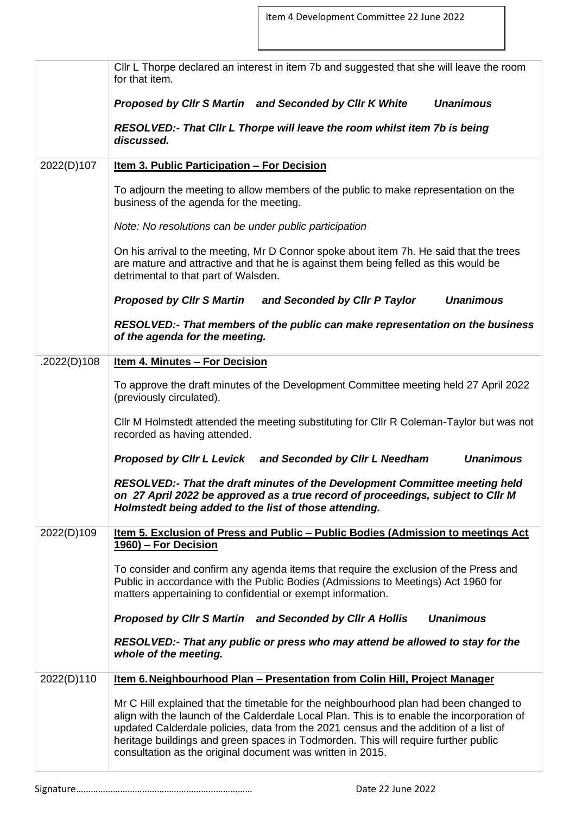|             | CIIr L Thorpe declared an interest in item 7b and suggested that she will leave the room<br>for that item.                                                                                                                                                                                                                                                                                                                      |
|-------------|---------------------------------------------------------------------------------------------------------------------------------------------------------------------------------------------------------------------------------------------------------------------------------------------------------------------------------------------------------------------------------------------------------------------------------|
|             | Proposed by Cllr S Martin and Seconded by Cllr K White<br><b>Unanimous</b>                                                                                                                                                                                                                                                                                                                                                      |
|             | RESOLVED:- That Cllr L Thorpe will leave the room whilst item 7b is being<br>discussed.                                                                                                                                                                                                                                                                                                                                         |
| 2022(D)107  | <u>Item 3. Public Participation - For Decision</u>                                                                                                                                                                                                                                                                                                                                                                              |
|             | To adjourn the meeting to allow members of the public to make representation on the<br>business of the agenda for the meeting.                                                                                                                                                                                                                                                                                                  |
|             | Note: No resolutions can be under public participation                                                                                                                                                                                                                                                                                                                                                                          |
|             | On his arrival to the meeting, Mr D Connor spoke about item 7h. He said that the trees<br>are mature and attractive and that he is against them being felled as this would be<br>detrimental to that part of Walsden.                                                                                                                                                                                                           |
|             | Proposed by Clir S Martin and Seconded by Clir P Taylor<br><b>Unanimous</b>                                                                                                                                                                                                                                                                                                                                                     |
|             | RESOLVED:- That members of the public can make representation on the business<br>of the agenda for the meeting.                                                                                                                                                                                                                                                                                                                 |
| .2022(D)108 | <u><b>Item 4. Minutes - For Decision</b></u>                                                                                                                                                                                                                                                                                                                                                                                    |
|             | To approve the draft minutes of the Development Committee meeting held 27 April 2022<br>(previously circulated).                                                                                                                                                                                                                                                                                                                |
|             | CIIr M Holmstedt attended the meeting substituting for CIIr R Coleman-Taylor but was not<br>recorded as having attended.                                                                                                                                                                                                                                                                                                        |
|             | <b>Unanimous</b><br>Proposed by Cllr L Levick and Seconded by Cllr L Needham                                                                                                                                                                                                                                                                                                                                                    |
|             | RESOLVED:- That the draft minutes of the Development Committee meeting held<br>on 27 April 2022 be approved as a true record of proceedings, subject to Cllr M<br>Holmstedt being added to the list of those attending.                                                                                                                                                                                                         |
| 2022(D)109  | <u>Item 5. Exclusion of Press and Public - Public Bodies (Admission to meetings Act</u><br>1960) – For Decision                                                                                                                                                                                                                                                                                                                 |
|             | To consider and confirm any agenda items that require the exclusion of the Press and<br>Public in accordance with the Public Bodies (Admissions to Meetings) Act 1960 for<br>matters appertaining to confidential or exempt information.                                                                                                                                                                                        |
|             | <b>Unanimous</b><br>Proposed by Cllr S Martin and Seconded by Cllr A Hollis                                                                                                                                                                                                                                                                                                                                                     |
|             | RESOLVED:- That any public or press who may attend be allowed to stay for the<br>whole of the meeting.                                                                                                                                                                                                                                                                                                                          |
| 2022(D)110  | Item 6. Neighbourhood Plan - Presentation from Colin Hill, Project Manager                                                                                                                                                                                                                                                                                                                                                      |
|             | Mr C Hill explained that the timetable for the neighbourhood plan had been changed to<br>align with the launch of the Calderdale Local Plan. This is to enable the incorporation of<br>updated Calderdale policies, data from the 2021 census and the addition of a list of<br>heritage buildings and green spaces in Todmorden. This will require further public<br>consultation as the original document was written in 2015. |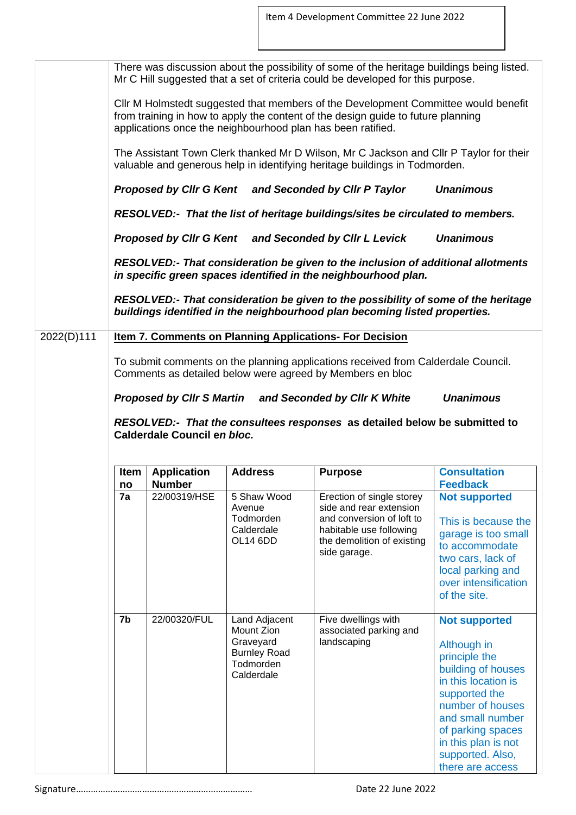|            |          |                               |                                     | There was discussion about the possibility of some of the heritage buildings being listed.<br>Mr C Hill suggested that a set of criteria could be developed for this purpose.                                                         |                                                                                                                                                |
|------------|----------|-------------------------------|-------------------------------------|---------------------------------------------------------------------------------------------------------------------------------------------------------------------------------------------------------------------------------------|------------------------------------------------------------------------------------------------------------------------------------------------|
|            |          |                               |                                     | CIIr M Holmstedt suggested that members of the Development Committee would benefit<br>from training in how to apply the content of the design guide to future planning<br>applications once the neighbourhood plan has been ratified. |                                                                                                                                                |
|            |          |                               |                                     | The Assistant Town Clerk thanked Mr D Wilson, Mr C Jackson and Cllr P Taylor for their<br>valuable and generous help in identifying heritage buildings in Todmorden.                                                                  |                                                                                                                                                |
|            |          |                               |                                     | Proposed by Cllr G Kent and Seconded by Cllr P Taylor                                                                                                                                                                                 | <b>Unanimous</b>                                                                                                                               |
|            |          |                               |                                     | RESOLVED:- That the list of heritage buildings/sites be circulated to members.                                                                                                                                                        |                                                                                                                                                |
|            |          |                               |                                     | Proposed by Cllr G Kent and Seconded by Cllr L Levick                                                                                                                                                                                 | <b>Unanimous</b>                                                                                                                               |
|            |          |                               |                                     | RESOLVED:- That consideration be given to the inclusion of additional allotments<br>in specific green spaces identified in the neighbourhood plan.                                                                                    |                                                                                                                                                |
|            |          |                               |                                     | RESOLVED:- That consideration be given to the possibility of some of the heritage<br>buildings identified in the neighbourhood plan becoming listed properties.                                                                       |                                                                                                                                                |
| 2022(D)111 |          |                               |                                     | <b>Item 7. Comments on Planning Applications- For Decision</b>                                                                                                                                                                        |                                                                                                                                                |
|            |          |                               |                                     |                                                                                                                                                                                                                                       |                                                                                                                                                |
|            |          |                               |                                     | To submit comments on the planning applications received from Calderdale Council.<br>Comments as detailed below were agreed by Members en bloc                                                                                        |                                                                                                                                                |
|            |          |                               |                                     | Proposed by Cllr S Martin and Seconded by Cllr K White                                                                                                                                                                                | <b>Unanimous</b>                                                                                                                               |
|            |          | Calderdale Council en bloc.   |                                     | RESOLVED:- That the consultees responses as detailed below be submitted to                                                                                                                                                            |                                                                                                                                                |
|            |          |                               |                                     |                                                                                                                                                                                                                                       |                                                                                                                                                |
|            | Item     | <b>Application</b>            | <b>Address</b>                      | <b>Purpose</b>                                                                                                                                                                                                                        | <b>Consultation</b>                                                                                                                            |
|            | no<br>7a | <b>Number</b><br>22/00319/HSE | 5 Shaw Wood<br>Avenue               | Erection of single storey<br>side and rear extension                                                                                                                                                                                  | <b>Feedback</b><br><b>Not supported</b>                                                                                                        |
|            |          |                               | Todmorden<br>Calderdale<br>OL14 6DD | and conversion of loft to<br>habitable use following<br>the demolition of existing<br>side garage.                                                                                                                                    | This is because the<br>garage is too small<br>to accommodate<br>two cars, lack of<br>local parking and<br>over intensification<br>of the site. |

Signature……………………………………………………………… Date 22 June 2022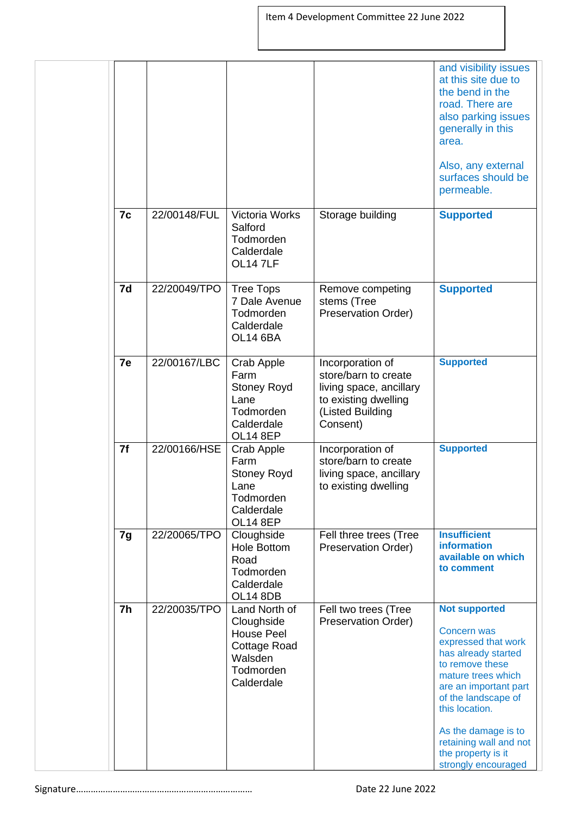|    |              |                                                                                                        |                                                                                                                             | and visibility issues<br>at this site due to<br>the bend in the<br>road. There are<br>also parking issues<br>generally in this<br>area.<br>Also, any external<br>surfaces should be<br>permeable.                                                                                                 |
|----|--------------|--------------------------------------------------------------------------------------------------------|-----------------------------------------------------------------------------------------------------------------------------|---------------------------------------------------------------------------------------------------------------------------------------------------------------------------------------------------------------------------------------------------------------------------------------------------|
| 7c | 22/00148/FUL | Victoria Works<br>Salford<br>Todmorden<br>Calderdale<br>OL147LF                                        | Storage building                                                                                                            | <b>Supported</b>                                                                                                                                                                                                                                                                                  |
| 7d | 22/20049/TPO | <b>Tree Tops</b><br>7 Dale Avenue<br>Todmorden<br>Calderdale<br><b>OL14 6BA</b>                        | Remove competing<br>stems (Tree<br>Preservation Order)                                                                      | <b>Supported</b>                                                                                                                                                                                                                                                                                  |
| 7e | 22/00167/LBC | Crab Apple<br>Farm<br><b>Stoney Royd</b><br>Lane<br>Todmorden<br>Calderdale<br><b>OL14 8EP</b>         | Incorporation of<br>store/barn to create<br>living space, ancillary<br>to existing dwelling<br>(Listed Building<br>Consent) | <b>Supported</b>                                                                                                                                                                                                                                                                                  |
| 7f | 22/00166/HSE | Crab Apple<br>Farm<br><b>Stoney Royd</b><br>Lane<br>Todmorden<br>Calderdale<br><b>OL14 8EP</b>         | Incorporation of<br>store/barn to create<br>living space, ancillary<br>to existing dwelling                                 | <b>Supported</b>                                                                                                                                                                                                                                                                                  |
| 7g | 22/20065/TPO | Cloughside<br>Hole Bottom<br>Road<br>Todmorden<br>Calderdale<br><b>OL14 8DB</b>                        | Fell three trees (Tree<br>Preservation Order)                                                                               | <b>Insufficient</b><br><b>information</b><br>available on which<br>to comment                                                                                                                                                                                                                     |
| 7h | 22/20035/TPO | Land North of<br>Cloughside<br><b>House Peel</b><br>Cottage Road<br>Walsden<br>Todmorden<br>Calderdale | Fell two trees (Tree<br>Preservation Order)                                                                                 | <b>Not supported</b><br><b>Concern was</b><br>expressed that work<br>has already started<br>to remove these<br>mature trees which<br>are an important part<br>of the landscape of<br>this location.<br>As the damage is to<br>retaining wall and not<br>the property is it<br>strongly encouraged |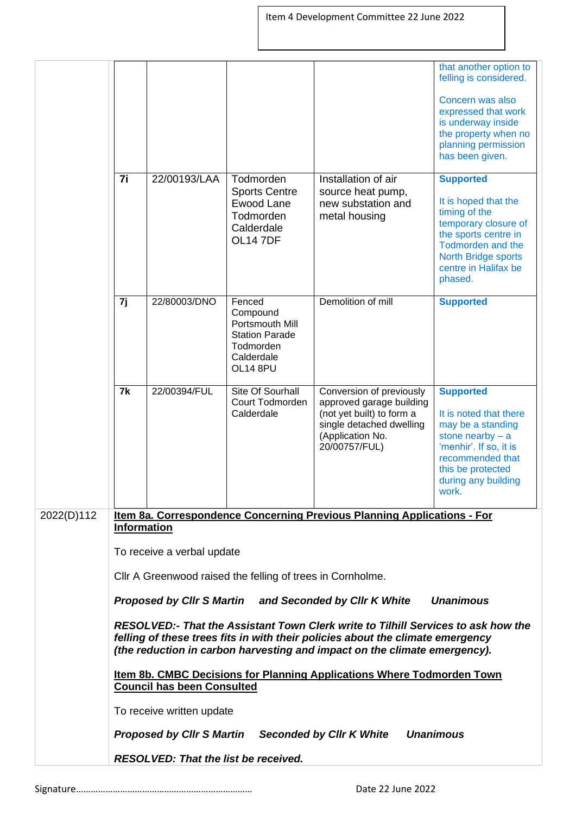|                                                                                                                                                                                                                                                                                                            |                                                                                                             |                                             |                                                                                                       |                                                                                                                                                    | that another option to<br>felling is considered.                                                                                                                                         |  |
|------------------------------------------------------------------------------------------------------------------------------------------------------------------------------------------------------------------------------------------------------------------------------------------------------------|-------------------------------------------------------------------------------------------------------------|---------------------------------------------|-------------------------------------------------------------------------------------------------------|----------------------------------------------------------------------------------------------------------------------------------------------------|------------------------------------------------------------------------------------------------------------------------------------------------------------------------------------------|--|
|                                                                                                                                                                                                                                                                                                            |                                                                                                             |                                             |                                                                                                       |                                                                                                                                                    | Concern was also<br>expressed that work<br>is underway inside<br>the property when no<br>planning permission<br>has been given.                                                          |  |
|                                                                                                                                                                                                                                                                                                            | 7i                                                                                                          | 22/00193/LAA                                | Todmorden<br><b>Sports Centre</b>                                                                     | Installation of air<br>source heat pump,                                                                                                           | <b>Supported</b>                                                                                                                                                                         |  |
|                                                                                                                                                                                                                                                                                                            |                                                                                                             |                                             | Ewood Lane<br>Todmorden<br>Calderdale<br><b>OL14 7DF</b>                                              | new substation and<br>metal housing                                                                                                                | It is hoped that the<br>timing of the<br>temporary closure of<br>the sports centre in<br><b>Todmorden and the</b><br>North Bridge sports<br>centre in Halifax be<br>phased.              |  |
|                                                                                                                                                                                                                                                                                                            | 7j                                                                                                          | 22/80003/DNO                                | Fenced<br>Compound<br>Portsmouth Mill<br><b>Station Parade</b><br>Todmorden<br>Calderdale<br>OL14 8PU | Demolition of mill                                                                                                                                 | <b>Supported</b>                                                                                                                                                                         |  |
|                                                                                                                                                                                                                                                                                                            | 7k                                                                                                          | 22/00394/FUL                                | Site Of Sourhall<br>Court Todmorden<br>Calderdale                                                     | Conversion of previously<br>approved garage building<br>(not yet built) to form a<br>single detached dwelling<br>(Application No.<br>20/00757/FUL) | <b>Supported</b><br>It is noted that there<br>may be a standing<br>stone nearby $- a$<br>'menhir'. If so, it is<br>recommended that<br>this be protected<br>during any building<br>work. |  |
| 2022(D)112                                                                                                                                                                                                                                                                                                 | <b>Information</b>                                                                                          |                                             |                                                                                                       | Item 8a. Correspondence Concerning Previous Planning Applications - For                                                                            |                                                                                                                                                                                          |  |
|                                                                                                                                                                                                                                                                                                            |                                                                                                             | To receive a verbal update                  |                                                                                                       |                                                                                                                                                    |                                                                                                                                                                                          |  |
|                                                                                                                                                                                                                                                                                                            |                                                                                                             |                                             | Cllr A Greenwood raised the felling of trees in Cornholme.                                            |                                                                                                                                                    |                                                                                                                                                                                          |  |
| Proposed by Cllr S Martin and Seconded by Cllr K White<br>RESOLVED:- That the Assistant Town Clerk write to Tilhill Services to ask how the<br>felling of these trees fits in with their policies about the climate emergency<br>(the reduction in carbon harvesting and impact on the climate emergency). |                                                                                                             |                                             |                                                                                                       | <b>Unanimous</b>                                                                                                                                   |                                                                                                                                                                                          |  |
|                                                                                                                                                                                                                                                                                                            |                                                                                                             |                                             |                                                                                                       |                                                                                                                                                    |                                                                                                                                                                                          |  |
|                                                                                                                                                                                                                                                                                                            | Item 8b. CMBC Decisions for Planning Applications Where Todmorden Town<br><b>Council has been Consulted</b> |                                             |                                                                                                       |                                                                                                                                                    |                                                                                                                                                                                          |  |
|                                                                                                                                                                                                                                                                                                            |                                                                                                             | To receive written update                   |                                                                                                       |                                                                                                                                                    |                                                                                                                                                                                          |  |
|                                                                                                                                                                                                                                                                                                            |                                                                                                             | <b>Proposed by Cllr S Martin</b>            |                                                                                                       | <b>Seconded by CIIr K White</b>                                                                                                                    | <b>Unanimous</b>                                                                                                                                                                         |  |
|                                                                                                                                                                                                                                                                                                            |                                                                                                             | <b>RESOLVED: That the list be received.</b> |                                                                                                       |                                                                                                                                                    |                                                                                                                                                                                          |  |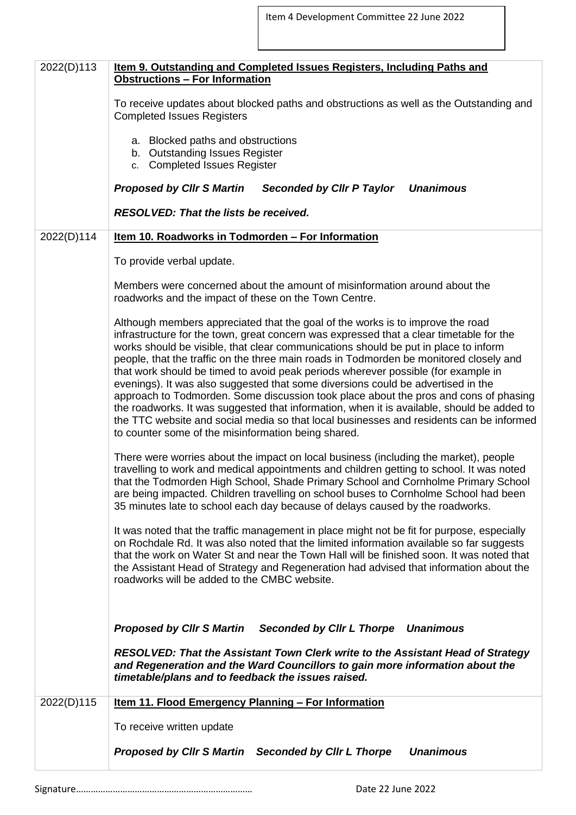| 2022(D)113 | Item 9. Outstanding and Completed Issues Registers, Including Paths and<br><b>Obstructions - For Information</b>                                                                                                                                                                                                                                                                                                                                                                                                                                                                                                                                                                                                                                                                                                                                                            |
|------------|-----------------------------------------------------------------------------------------------------------------------------------------------------------------------------------------------------------------------------------------------------------------------------------------------------------------------------------------------------------------------------------------------------------------------------------------------------------------------------------------------------------------------------------------------------------------------------------------------------------------------------------------------------------------------------------------------------------------------------------------------------------------------------------------------------------------------------------------------------------------------------|
|            | To receive updates about blocked paths and obstructions as well as the Outstanding and<br><b>Completed Issues Registers</b>                                                                                                                                                                                                                                                                                                                                                                                                                                                                                                                                                                                                                                                                                                                                                 |
|            | a. Blocked paths and obstructions<br>b. Outstanding Issues Register<br>c. Completed Issues Register                                                                                                                                                                                                                                                                                                                                                                                                                                                                                                                                                                                                                                                                                                                                                                         |
|            | <b>Proposed by CIIr S Martin</b><br><b>Seconded by Cllr P Taylor</b><br><b>Unanimous</b>                                                                                                                                                                                                                                                                                                                                                                                                                                                                                                                                                                                                                                                                                                                                                                                    |
|            | <b>RESOLVED: That the lists be received.</b>                                                                                                                                                                                                                                                                                                                                                                                                                                                                                                                                                                                                                                                                                                                                                                                                                                |
| 2022(D)114 | <u>Item 10. Roadworks in Todmorden - For Information</u>                                                                                                                                                                                                                                                                                                                                                                                                                                                                                                                                                                                                                                                                                                                                                                                                                    |
|            | To provide verbal update.                                                                                                                                                                                                                                                                                                                                                                                                                                                                                                                                                                                                                                                                                                                                                                                                                                                   |
|            | Members were concerned about the amount of misinformation around about the<br>roadworks and the impact of these on the Town Centre.                                                                                                                                                                                                                                                                                                                                                                                                                                                                                                                                                                                                                                                                                                                                         |
|            | Although members appreciated that the goal of the works is to improve the road<br>infrastructure for the town, great concern was expressed that a clear timetable for the<br>works should be visible, that clear communications should be put in place to inform<br>people, that the traffic on the three main roads in Todmorden be monitored closely and<br>that work should be timed to avoid peak periods wherever possible (for example in<br>evenings). It was also suggested that some diversions could be advertised in the<br>approach to Todmorden. Some discussion took place about the pros and cons of phasing<br>the roadworks. It was suggested that information, when it is available, should be added to<br>the TTC website and social media so that local businesses and residents can be informed<br>to counter some of the misinformation being shared. |
|            | There were worries about the impact on local business (including the market), people<br>travelling to work and medical appointments and children getting to school. It was noted<br>that the Todmorden High School, Shade Primary School and Cornholme Primary School<br>are being impacted. Children travelling on school buses to Cornholme School had been<br>35 minutes late to school each day because of delays caused by the roadworks.                                                                                                                                                                                                                                                                                                                                                                                                                              |
|            | It was noted that the traffic management in place might not be fit for purpose, especially<br>on Rochdale Rd. It was also noted that the limited information available so far suggests<br>that the work on Water St and near the Town Hall will be finished soon. It was noted that<br>the Assistant Head of Strategy and Regeneration had advised that information about the<br>roadworks will be added to the CMBC website.                                                                                                                                                                                                                                                                                                                                                                                                                                               |
|            | Proposed by Cllr S Martin Seconded by Cllr L Thorpe Unanimous<br>RESOLVED: That the Assistant Town Clerk write to the Assistant Head of Strategy<br>and Regeneration and the Ward Councillors to gain more information about the                                                                                                                                                                                                                                                                                                                                                                                                                                                                                                                                                                                                                                            |
|            | timetable/plans and to feedback the issues raised.                                                                                                                                                                                                                                                                                                                                                                                                                                                                                                                                                                                                                                                                                                                                                                                                                          |
| 2022(D)115 | <u>Item 11. Flood Emergency Planning - For Information</u>                                                                                                                                                                                                                                                                                                                                                                                                                                                                                                                                                                                                                                                                                                                                                                                                                  |
|            | To receive written update                                                                                                                                                                                                                                                                                                                                                                                                                                                                                                                                                                                                                                                                                                                                                                                                                                                   |
|            | Proposed by Cllr S Martin Seconded by Cllr L Thorpe<br><b>Unanimous</b>                                                                                                                                                                                                                                                                                                                                                                                                                                                                                                                                                                                                                                                                                                                                                                                                     |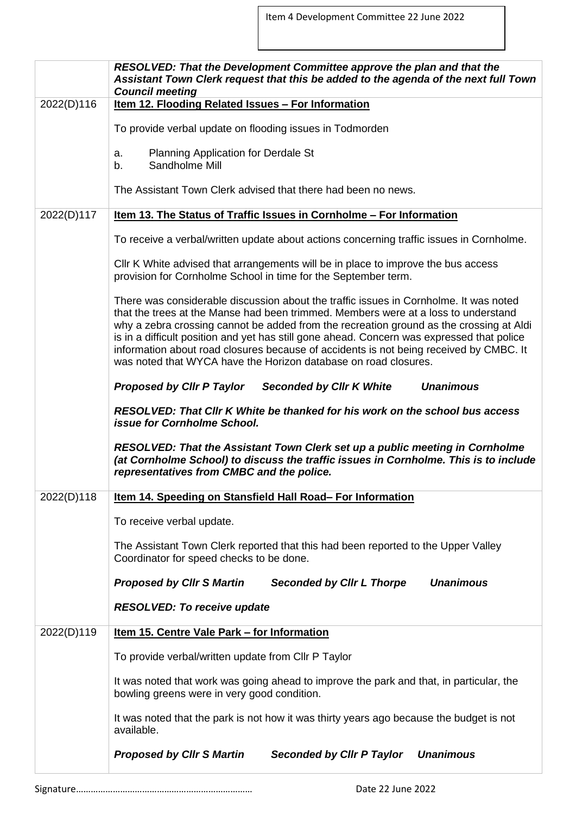Item 4 Development Committee 22 June 2022

|            | <b>RESOLVED: That the Development Committee approve the plan and that the</b><br>Assistant Town Clerk request that this be added to the agenda of the next full Town<br><b>Council meeting</b>                                                                                                                                                                                                                                                                                                                                    |
|------------|-----------------------------------------------------------------------------------------------------------------------------------------------------------------------------------------------------------------------------------------------------------------------------------------------------------------------------------------------------------------------------------------------------------------------------------------------------------------------------------------------------------------------------------|
| 2022(D)116 | Item 12. Flooding Related Issues - For Information                                                                                                                                                                                                                                                                                                                                                                                                                                                                                |
|            | To provide verbal update on flooding issues in Todmorden                                                                                                                                                                                                                                                                                                                                                                                                                                                                          |
|            | <b>Planning Application for Derdale St</b><br>a.<br>Sandholme Mill<br>b.                                                                                                                                                                                                                                                                                                                                                                                                                                                          |
|            | The Assistant Town Clerk advised that there had been no news.                                                                                                                                                                                                                                                                                                                                                                                                                                                                     |
| 2022(D)117 | <u>Item 13. The Status of Traffic Issues in Cornholme - For Information</u>                                                                                                                                                                                                                                                                                                                                                                                                                                                       |
|            | To receive a verbal/written update about actions concerning traffic issues in Cornholme.                                                                                                                                                                                                                                                                                                                                                                                                                                          |
|            | CIIr K White advised that arrangements will be in place to improve the bus access<br>provision for Cornholme School in time for the September term.                                                                                                                                                                                                                                                                                                                                                                               |
|            | There was considerable discussion about the traffic issues in Cornholme. It was noted<br>that the trees at the Manse had been trimmed. Members were at a loss to understand<br>why a zebra crossing cannot be added from the recreation ground as the crossing at Aldi<br>is in a difficult position and yet has still gone ahead. Concern was expressed that police<br>information about road closures because of accidents is not being received by CMBC. It<br>was noted that WYCA have the Horizon database on road closures. |
|            | <b>Proposed by Cllr P Taylor</b><br><b>Seconded by Cllr K White</b><br><b>Unanimous</b>                                                                                                                                                                                                                                                                                                                                                                                                                                           |
|            | RESOLVED: That Cllr K White be thanked for his work on the school bus access<br>issue for Cornholme School.                                                                                                                                                                                                                                                                                                                                                                                                                       |
|            | RESOLVED: That the Assistant Town Clerk set up a public meeting in Cornholme<br>(at Cornholme School) to discuss the traffic issues in Cornholme. This is to include<br>representatives from CMBC and the police.                                                                                                                                                                                                                                                                                                                 |
| 2022(D)118 | Item 14. Speeding on Stansfield Hall Road-For Information                                                                                                                                                                                                                                                                                                                                                                                                                                                                         |
|            | To receive verbal update.                                                                                                                                                                                                                                                                                                                                                                                                                                                                                                         |
|            | The Assistant Town Clerk reported that this had been reported to the Upper Valley<br>Coordinator for speed checks to be done.                                                                                                                                                                                                                                                                                                                                                                                                     |
|            | <b>Proposed by CIIr S Martin</b><br><b>Unanimous</b><br><b>Seconded by Cllr L Thorpe</b>                                                                                                                                                                                                                                                                                                                                                                                                                                          |
|            | <b>RESOLVED: To receive update</b>                                                                                                                                                                                                                                                                                                                                                                                                                                                                                                |
| 2022(D)119 | <u>Item 15. Centre Vale Park – for Information</u>                                                                                                                                                                                                                                                                                                                                                                                                                                                                                |
|            | To provide verbal/written update from Cllr P Taylor                                                                                                                                                                                                                                                                                                                                                                                                                                                                               |
|            | It was noted that work was going ahead to improve the park and that, in particular, the<br>bowling greens were in very good condition.                                                                                                                                                                                                                                                                                                                                                                                            |
|            | It was noted that the park is not how it was thirty years ago because the budget is not<br>available.                                                                                                                                                                                                                                                                                                                                                                                                                             |
|            | <b>Proposed by Cllr S Martin</b><br><b>Seconded by Cllr P Taylor</b><br><b>Unanimous</b>                                                                                                                                                                                                                                                                                                                                                                                                                                          |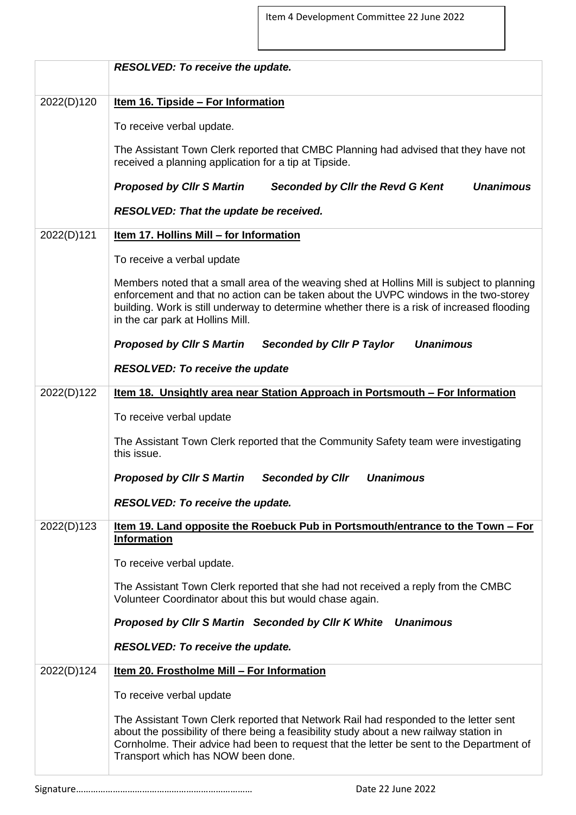|            | <b>RESOLVED: To receive the update.</b>                                                                                                                                                                                                                                                                               |
|------------|-----------------------------------------------------------------------------------------------------------------------------------------------------------------------------------------------------------------------------------------------------------------------------------------------------------------------|
| 2022(D)120 | <u>Item 16. Tipside - For Information</u>                                                                                                                                                                                                                                                                             |
|            | To receive verbal update.                                                                                                                                                                                                                                                                                             |
|            | The Assistant Town Clerk reported that CMBC Planning had advised that they have not<br>received a planning application for a tip at Tipside.                                                                                                                                                                          |
|            | <b>Unanimous</b><br><b>Proposed by CIIr S Martin</b><br><b>Seconded by Cllr the Revd G Kent</b>                                                                                                                                                                                                                       |
|            | RESOLVED: That the update be received.                                                                                                                                                                                                                                                                                |
| 2022(D)121 | Item 17. Hollins Mill - for Information                                                                                                                                                                                                                                                                               |
|            | To receive a verbal update                                                                                                                                                                                                                                                                                            |
|            | Members noted that a small area of the weaving shed at Hollins Mill is subject to planning<br>enforcement and that no action can be taken about the UVPC windows in the two-storey<br>building. Work is still underway to determine whether there is a risk of increased flooding<br>in the car park at Hollins Mill. |
|            | <b>Unanimous</b><br><b>Proposed by Cllr S Martin</b><br><b>Seconded by Cllr P Taylor</b>                                                                                                                                                                                                                              |
|            | <b>RESOLVED: To receive the update</b>                                                                                                                                                                                                                                                                                |
| 2022(D)122 | Item 18. Unsightly area near Station Approach in Portsmouth - For Information                                                                                                                                                                                                                                         |
|            | To receive verbal update                                                                                                                                                                                                                                                                                              |
|            | The Assistant Town Clerk reported that the Community Safety team were investigating<br>this issue.                                                                                                                                                                                                                    |
|            | <b>Seconded by Cllr</b><br><b>Unanimous</b><br><b>Proposed by CIIr S Martin</b>                                                                                                                                                                                                                                       |
|            | <b>RESOLVED: To receive the update.</b>                                                                                                                                                                                                                                                                               |
| 2022(D)123 | Item 19. Land opposite the Roebuck Pub in Portsmouth/entrance to the Town - For<br><b>Information</b>                                                                                                                                                                                                                 |
|            | To receive verbal update.                                                                                                                                                                                                                                                                                             |
|            | The Assistant Town Clerk reported that she had not received a reply from the CMBC<br>Volunteer Coordinator about this but would chase again.                                                                                                                                                                          |
|            | Proposed by Cllr S Martin Seconded by Cllr K White Unanimous                                                                                                                                                                                                                                                          |
|            | <b>RESOLVED: To receive the update.</b>                                                                                                                                                                                                                                                                               |
| 2022(D)124 | Item 20. Frostholme Mill - For Information                                                                                                                                                                                                                                                                            |
|            | To receive verbal update                                                                                                                                                                                                                                                                                              |
|            | The Assistant Town Clerk reported that Network Rail had responded to the letter sent<br>about the possibility of there being a feasibility study about a new railway station in<br>Cornholme. Their advice had been to request that the letter be sent to the Department of<br>Transport which has NOW been done.     |